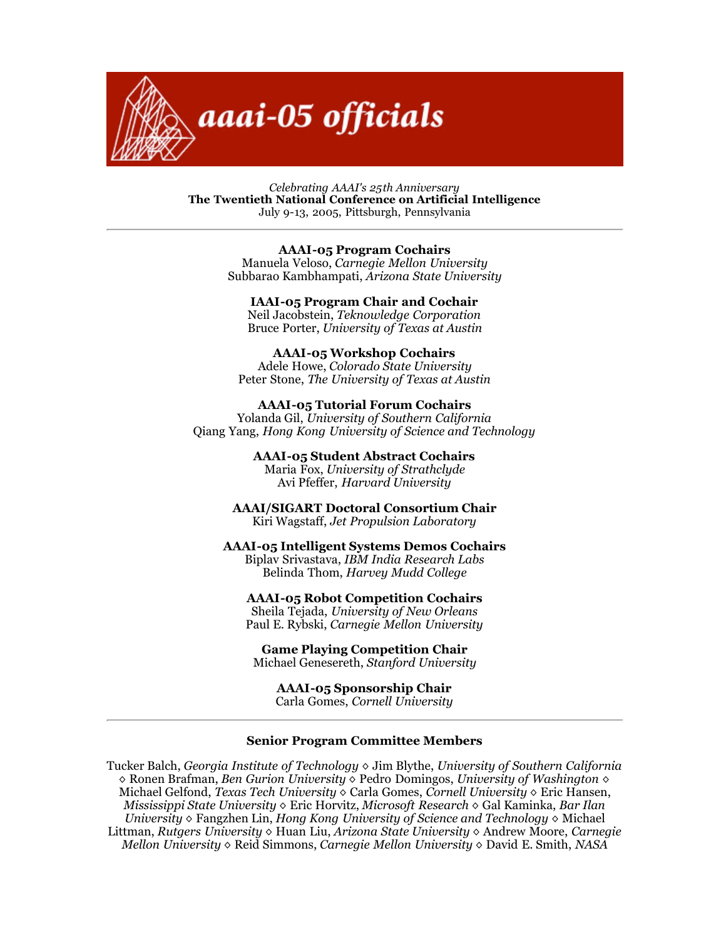

*Celebrating AAAI's 25th Anniversary* **The Twentieth National Conference on Artificial Intelligence** July 9-13, 2005, Pittsburgh, Pennsylvania

> **AAAI-05 Program Cochairs** Manuela Veloso, *Carnegie Mellon University* Subbarao Kambhampati, *Arizona State University*

## **IAAI-05 Program Chair and Cochair** Neil Jacobstein, *Teknowledge Corporation*

Bruce Porter, *University of Texas at Austin*

**AAAI-05 Workshop Cochairs** Adele Howe, *Colorado State University* Peter Stone, *The University of Texas at Austin*

**AAAI-05 Tutorial Forum Cochairs** Yolanda Gil, *University of Southern California* Qiang Yang, *Hong Kong University of Science and Technology*

> **AAAI-05 Student Abstract Cochairs** Maria Fox, *University of Strathclyde* Avi Pfeffer, *Harvard University*

**AAAI/SIGART Doctoral Consortium Chair** Kiri Wagstaff, *Jet Propulsion Laboratory*

**AAAI-05 Intelligent Systems Demos Cochairs**

Biplav Srivastava, *IBM India Research Labs* Belinda Thom, *Harvey Mudd College*

**AAAI-05 Robot Competition Cochairs**

Sheila Tejada, *University of New Orleans* Paul E. Rybski, *Carnegie Mellon University*

**Game Playing Competition Chair** Michael Genesereth, *Stanford University*

**AAAI-05 Sponsorship Chair** Carla Gomes, *Cornell University*

## **Senior Program Committee Members**

Tucker Balch, *Georgia Institute of Technology* ◊ Jim Blythe, *University of Southern California* ◊ Ronen Brafman, *Ben Gurion University* ◊ Pedro Domingos, *University of Washington* ◊ Michael Gelfond, *Texas Tech University* ◊ Carla Gomes, *Cornell University* ◊ Eric Hansen, *Mississippi State University* ◊ Eric Horvitz, *Microsoft Research* ◊ Gal Kaminka, *Bar Ilan University* ◊ Fangzhen Lin, *Hong Kong University of Science and Technology* ◊ Michael Littman, *Rutgers University* ◊ Huan Liu, *Arizona State University* ◊ Andrew Moore, *Carnegie Mellon University* ◊ Reid Simmons, *Carnegie Mellon University* ◊ David E. Smith, *NASA*